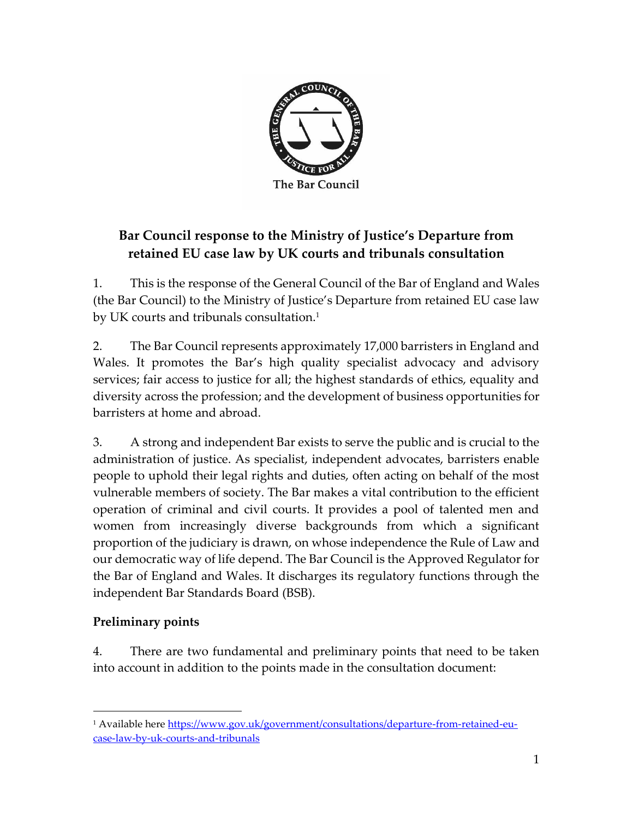

# **Bar Council response to the Ministry of Justice's Departure from retained EU case law by UK courts and tribunals consultation**

1. This is the response of the General Council of the Bar of England and Wales (the Bar Council) to the Ministry of Justice's Departure from retained EU case law by UK courts and tribunals consultation.<sup>1</sup>

2. The Bar Council represents approximately 17,000 barristers in England and Wales. It promotes the Bar's high quality specialist advocacy and advisory services; fair access to justice for all; the highest standards of ethics, equality and diversity across the profession; and the development of business opportunities for barristers at home and abroad.

3. A strong and independent Bar exists to serve the public and is crucial to the administration of justice. As specialist, independent advocates, barristers enable people to uphold their legal rights and duties, often acting on behalf of the most vulnerable members of society. The Bar makes a vital contribution to the efficient operation of criminal and civil courts. It provides a pool of talented men and women from increasingly diverse backgrounds from which a significant proportion of the judiciary is drawn, on whose independence the Rule of Law and our democratic way of life depend. The Bar Council is the Approved Regulator for the Bar of England and Wales. It discharges its regulatory functions through the independent Bar Standards Board (BSB).

# **Preliminary points**

4. There are two fundamental and preliminary points that need to be taken into account in addition to the points made in the consultation document:

<sup>&</sup>lt;sup>1</sup> Available here [https://www.gov.uk/government/consultations/departure-from-retained-eu](https://www.gov.uk/government/consultations/departure-from-retained-eu-case-law-by-uk-courts-and-tribunals)[case-law-by-uk-courts-and-tribunals](https://www.gov.uk/government/consultations/departure-from-retained-eu-case-law-by-uk-courts-and-tribunals)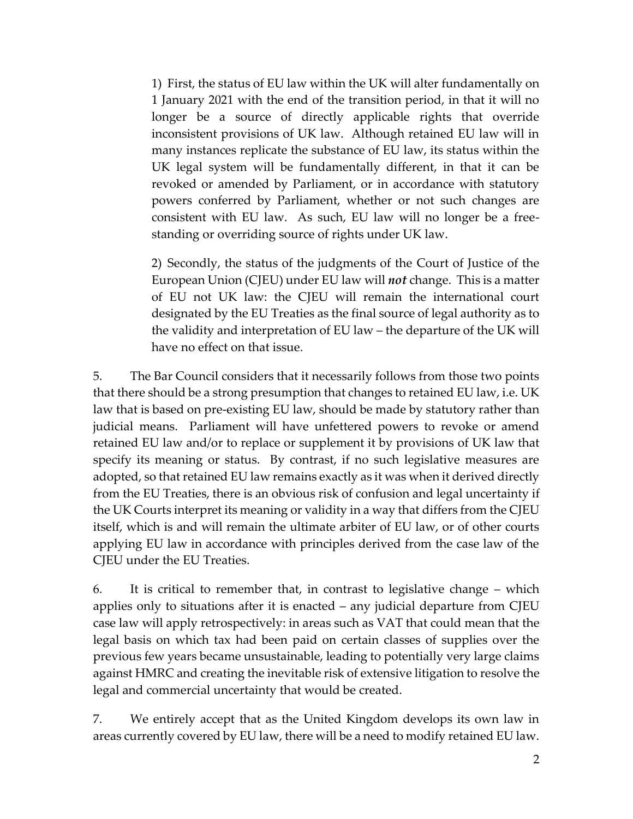1) First, the status of EU law within the UK will alter fundamentally on 1 January 2021 with the end of the transition period, in that it will no longer be a source of directly applicable rights that override inconsistent provisions of UK law. Although retained EU law will in many instances replicate the substance of EU law, its status within the UK legal system will be fundamentally different, in that it can be revoked or amended by Parliament, or in accordance with statutory powers conferred by Parliament, whether or not such changes are consistent with EU law. As such, EU law will no longer be a freestanding or overriding source of rights under UK law.

2) Secondly, the status of the judgments of the Court of Justice of the European Union (CJEU) under EU law will *not* change. This is a matter of EU not UK law: the CJEU will remain the international court designated by the EU Treaties as the final source of legal authority as to the validity and interpretation of EU law – the departure of the UK will have no effect on that issue.

5. The Bar Council considers that it necessarily follows from those two points that there should be a strong presumption that changes to retained EU law, i.e. UK law that is based on pre-existing EU law, should be made by statutory rather than judicial means. Parliament will have unfettered powers to revoke or amend retained EU law and/or to replace or supplement it by provisions of UK law that specify its meaning or status. By contrast, if no such legislative measures are adopted, so that retained EU law remains exactly as it was when it derived directly from the EU Treaties, there is an obvious risk of confusion and legal uncertainty if the UK Courts interpret its meaning or validity in a way that differs from the CJEU itself, which is and will remain the ultimate arbiter of EU law, or of other courts applying EU law in accordance with principles derived from the case law of the CJEU under the EU Treaties.

6. It is critical to remember that, in contrast to legislative change – which applies only to situations after it is enacted – any judicial departure from CJEU case law will apply retrospectively: in areas such as VAT that could mean that the legal basis on which tax had been paid on certain classes of supplies over the previous few years became unsustainable, leading to potentially very large claims against HMRC and creating the inevitable risk of extensive litigation to resolve the legal and commercial uncertainty that would be created.

7. We entirely accept that as the United Kingdom develops its own law in areas currently covered by EU law, there will be a need to modify retained EU law.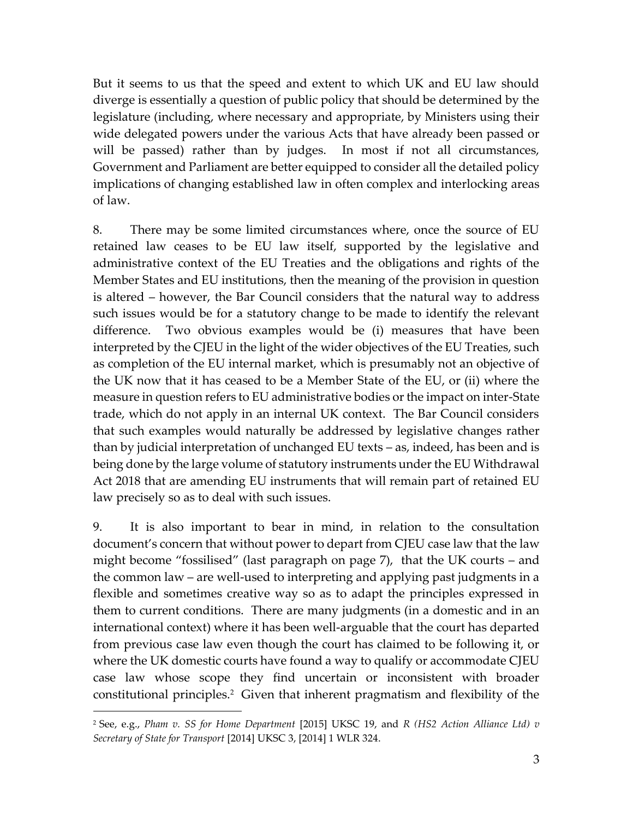But it seems to us that the speed and extent to which UK and EU law should diverge is essentially a question of public policy that should be determined by the legislature (including, where necessary and appropriate, by Ministers using their wide delegated powers under the various Acts that have already been passed or will be passed) rather than by judges. In most if not all circumstances, Government and Parliament are better equipped to consider all the detailed policy implications of changing established law in often complex and interlocking areas of law.

8. There may be some limited circumstances where, once the source of EU retained law ceases to be EU law itself, supported by the legislative and administrative context of the EU Treaties and the obligations and rights of the Member States and EU institutions, then the meaning of the provision in question is altered – however, the Bar Council considers that the natural way to address such issues would be for a statutory change to be made to identify the relevant difference. Two obvious examples would be (i) measures that have been interpreted by the CJEU in the light of the wider objectives of the EU Treaties, such as completion of the EU internal market, which is presumably not an objective of the UK now that it has ceased to be a Member State of the EU, or (ii) where the measure in question refers to EU administrative bodies or the impact on inter-State trade, which do not apply in an internal UK context. The Bar Council considers that such examples would naturally be addressed by legislative changes rather than by judicial interpretation of unchanged EU texts – as, indeed, has been and is being done by the large volume of statutory instruments under the EU Withdrawal Act 2018 that are amending EU instruments that will remain part of retained EU law precisely so as to deal with such issues.

9. It is also important to bear in mind, in relation to the consultation document's concern that without power to depart from CJEU case law that the law might become "fossilised" (last paragraph on page 7), that the UK courts – and the common law – are well-used to interpreting and applying past judgments in a flexible and sometimes creative way so as to adapt the principles expressed in them to current conditions. There are many judgments (in a domestic and in an international context) where it has been well-arguable that the court has departed from previous case law even though the court has claimed to be following it, or where the UK domestic courts have found a way to qualify or accommodate CJEU case law whose scope they find uncertain or inconsistent with broader constitutional principles.<sup>2</sup> Given that inherent pragmatism and flexibility of the

<sup>2</sup> See, e.g., *Pham v. SS for Home Department* [2015] UKSC 19, and *R (HS2 Action Alliance Ltd) v Secretary of State for Transport* [\[2014\] UKSC 3,](https://www.bailii.org/uk/cases/UKSC/2014/3.html) [\[2014\] 1 WLR 324.](https://www.bailii.org/cgi-bin/redirect.cgi?path=/uk/cases/UKSC/2014/3.html)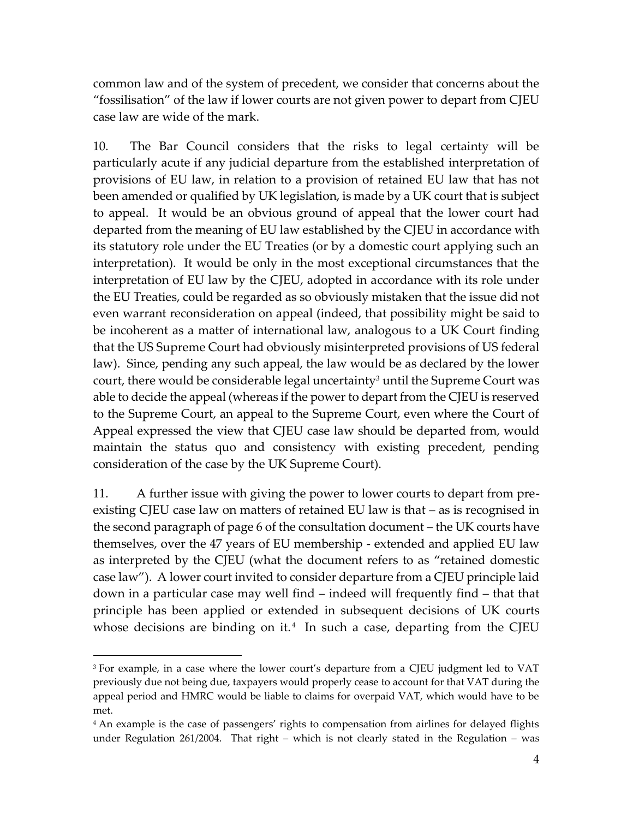common law and of the system of precedent, we consider that concerns about the "fossilisation" of the law if lower courts are not given power to depart from CJEU case law are wide of the mark.

10. The Bar Council considers that the risks to legal certainty will be particularly acute if any judicial departure from the established interpretation of provisions of EU law, in relation to a provision of retained EU law that has not been amended or qualified by UK legislation, is made by a UK court that is subject to appeal. It would be an obvious ground of appeal that the lower court had departed from the meaning of EU law established by the CJEU in accordance with its statutory role under the EU Treaties (or by a domestic court applying such an interpretation). It would be only in the most exceptional circumstances that the interpretation of EU law by the CJEU, adopted in accordance with its role under the EU Treaties, could be regarded as so obviously mistaken that the issue did not even warrant reconsideration on appeal (indeed, that possibility might be said to be incoherent as a matter of international law, analogous to a UK Court finding that the US Supreme Court had obviously misinterpreted provisions of US federal law). Since, pending any such appeal, the law would be as declared by the lower court, there would be considerable legal uncertainty<sup>3</sup> until the Supreme Court was able to decide the appeal (whereas if the power to depart from the CJEU is reserved to the Supreme Court, an appeal to the Supreme Court, even where the Court of Appeal expressed the view that CJEU case law should be departed from, would maintain the status quo and consistency with existing precedent, pending consideration of the case by the UK Supreme Court).

11. A further issue with giving the power to lower courts to depart from preexisting CJEU case law on matters of retained EU law is that – as is recognised in the second paragraph of page 6 of the consultation document – the UK courts have themselves, over the 47 years of EU membership - extended and applied EU law as interpreted by the CJEU (what the document refers to as "retained domestic case law"). A lower court invited to consider departure from a CJEU principle laid down in a particular case may well find – indeed will frequently find – that that principle has been applied or extended in subsequent decisions of UK courts whose decisions are binding on it. $4\,$  In such a case, departing from the CJEU

<sup>&</sup>lt;sup>3</sup> For example, in a case where the lower court's departure from a CJEU judgment led to VAT previously due not being due, taxpayers would properly cease to account for that VAT during the appeal period and HMRC would be liable to claims for overpaid VAT, which would have to be met.

<sup>4</sup> An example is the case of passengers' rights to compensation from airlines for delayed flights under Regulation 261/2004. That right – which is not clearly stated in the Regulation – was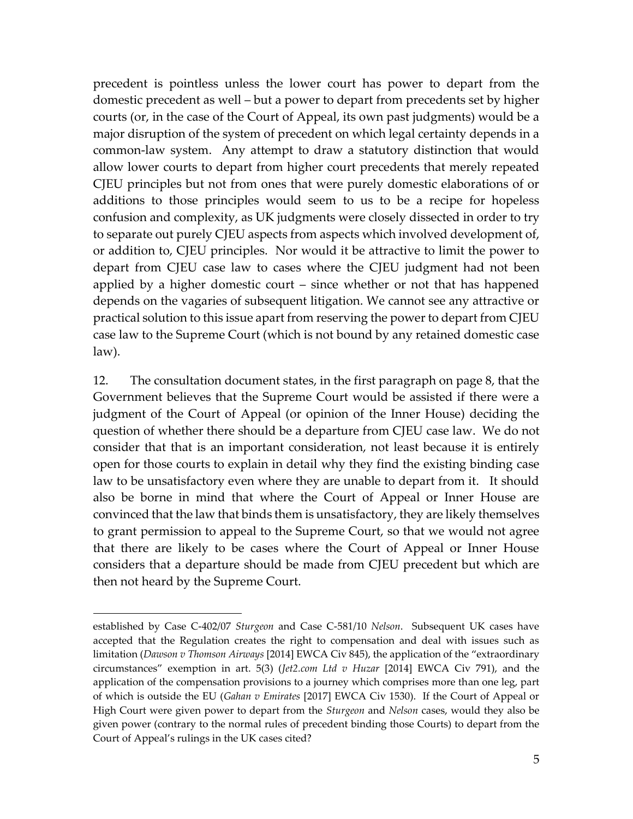precedent is pointless unless the lower court has power to depart from the domestic precedent as well – but a power to depart from precedents set by higher courts (or, in the case of the Court of Appeal, its own past judgments) would be a major disruption of the system of precedent on which legal certainty depends in a common-law system. Any attempt to draw a statutory distinction that would allow lower courts to depart from higher court precedents that merely repeated CJEU principles but not from ones that were purely domestic elaborations of or additions to those principles would seem to us to be a recipe for hopeless confusion and complexity, as UK judgments were closely dissected in order to try to separate out purely CJEU aspects from aspects which involved development of, or addition to, CJEU principles. Nor would it be attractive to limit the power to depart from CJEU case law to cases where the CJEU judgment had not been applied by a higher domestic court – since whether or not that has happened depends on the vagaries of subsequent litigation. We cannot see any attractive or practical solution to this issue apart from reserving the power to depart from CJEU case law to the Supreme Court (which is not bound by any retained domestic case law).

12. The consultation document states, in the first paragraph on page 8, that the Government believes that the Supreme Court would be assisted if there were a judgment of the Court of Appeal (or opinion of the Inner House) deciding the question of whether there should be a departure from CJEU case law. We do not consider that that is an important consideration, not least because it is entirely open for those courts to explain in detail why they find the existing binding case law to be unsatisfactory even where they are unable to depart from it. It should also be borne in mind that where the Court of Appeal or Inner House are convinced that the law that binds them is unsatisfactory, they are likely themselves to grant permission to appeal to the Supreme Court, so that we would not agree that there are likely to be cases where the Court of Appeal or Inner House considers that a departure should be made from CJEU precedent but which are then not heard by the Supreme Court.

established by Case C-402/07 *Sturgeon* and Case C-581/10 *Nelson*. Subsequent UK cases have accepted that the Regulation creates the right to compensation and deal with issues such as limitation (*Dawson v Thomson Airways* [2014] EWCA Civ 845), the application of the "extraordinary circumstances" exemption in art. 5(3) (*Jet2.com Ltd v Huzar* [2014] EWCA Civ 791), and the application of the compensation provisions to a journey which comprises more than one leg, part of which is outside the EU (*Gahan v Emirates* [2017] EWCA Civ 1530). If the Court of Appeal or High Court were given power to depart from the *Sturgeon* and *Nelson* cases, would they also be given power (contrary to the normal rules of precedent binding those Courts) to depart from the Court of Appeal's rulings in the UK cases cited?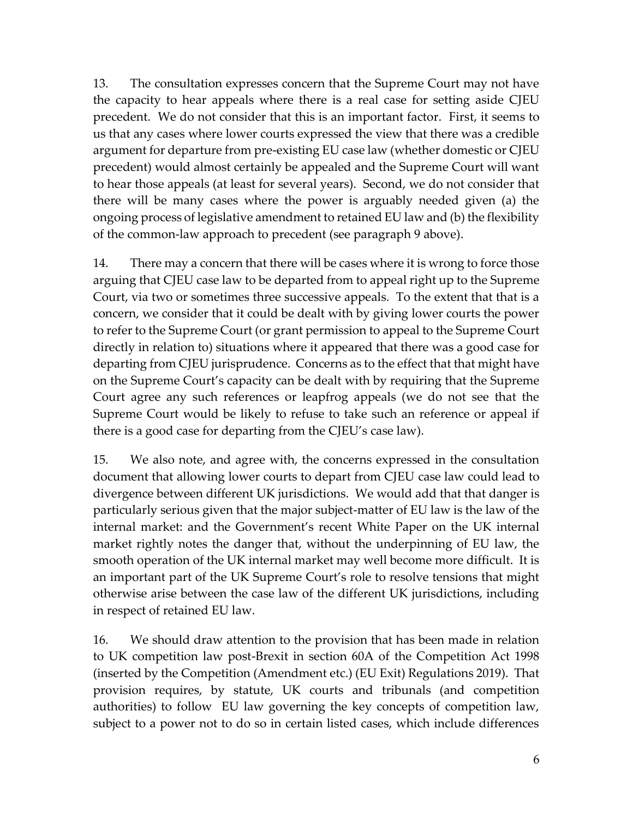13. The consultation expresses concern that the Supreme Court may not have the capacity to hear appeals where there is a real case for setting aside CJEU precedent. We do not consider that this is an important factor. First, it seems to us that any cases where lower courts expressed the view that there was a credible argument for departure from pre-existing EU case law (whether domestic or CJEU precedent) would almost certainly be appealed and the Supreme Court will want to hear those appeals (at least for several years). Second, we do not consider that there will be many cases where the power is arguably needed given (a) the ongoing process of legislative amendment to retained EU law and (b) the flexibility of the common-law approach to precedent (see paragraph 9 above).

14. There may a concern that there will be cases where it is wrong to force those arguing that CJEU case law to be departed from to appeal right up to the Supreme Court, via two or sometimes three successive appeals. To the extent that that is a concern, we consider that it could be dealt with by giving lower courts the power to refer to the Supreme Court (or grant permission to appeal to the Supreme Court directly in relation to) situations where it appeared that there was a good case for departing from CJEU jurisprudence. Concerns as to the effect that that might have on the Supreme Court's capacity can be dealt with by requiring that the Supreme Court agree any such references or leapfrog appeals (we do not see that the Supreme Court would be likely to refuse to take such an reference or appeal if there is a good case for departing from the CJEU's case law).

15. We also note, and agree with, the concerns expressed in the consultation document that allowing lower courts to depart from CJEU case law could lead to divergence between different UK jurisdictions. We would add that that danger is particularly serious given that the major subject-matter of EU law is the law of the internal market: and the Government's recent White Paper on the UK internal market rightly notes the danger that, without the underpinning of EU law, the smooth operation of the UK internal market may well become more difficult. It is an important part of the UK Supreme Court's role to resolve tensions that might otherwise arise between the case law of the different UK jurisdictions, including in respect of retained EU law.

16. We should draw attention to the provision that has been made in relation to UK competition law post-Brexit in section 60A of the Competition Act 1998 (inserted by the Competition (Amendment etc.) (EU Exit) Regulations 2019). That provision requires, by statute, UK courts and tribunals (and competition authorities) to follow EU law governing the key concepts of competition law, subject to a power not to do so in certain listed cases, which include differences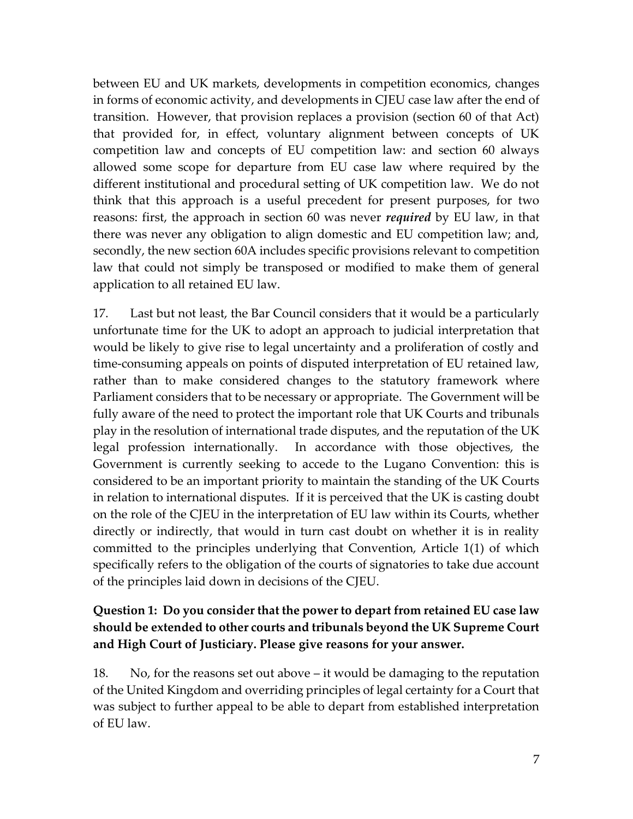between EU and UK markets, developments in competition economics, changes in forms of economic activity, and developments in CJEU case law after the end of transition. However, that provision replaces a provision (section 60 of that Act) that provided for, in effect, voluntary alignment between concepts of UK competition law and concepts of EU competition law: and section 60 always allowed some scope for departure from EU case law where required by the different institutional and procedural setting of UK competition law. We do not think that this approach is a useful precedent for present purposes, for two reasons: first, the approach in section 60 was never *required* by EU law, in that there was never any obligation to align domestic and EU competition law; and, secondly, the new section 60A includes specific provisions relevant to competition law that could not simply be transposed or modified to make them of general application to all retained EU law.

17. Last but not least, the Bar Council considers that it would be a particularly unfortunate time for the UK to adopt an approach to judicial interpretation that would be likely to give rise to legal uncertainty and a proliferation of costly and time-consuming appeals on points of disputed interpretation of EU retained law, rather than to make considered changes to the statutory framework where Parliament considers that to be necessary or appropriate. The Government will be fully aware of the need to protect the important role that UK Courts and tribunals play in the resolution of international trade disputes, and the reputation of the UK legal profession internationally. In accordance with those objectives, the Government is currently seeking to accede to the Lugano Convention: this is considered to be an important priority to maintain the standing of the UK Courts in relation to international disputes. If it is perceived that the UK is casting doubt on the role of the CJEU in the interpretation of EU law within its Courts, whether directly or indirectly, that would in turn cast doubt on whether it is in reality committed to the principles underlying that Convention, Article 1(1) of which specifically refers to the obligation of the courts of signatories to take due account of the principles laid down in decisions of the CJEU.

## **Question 1: Do you consider that the power to depart from retained EU case law should be extended to other courts and tribunals beyond the UK Supreme Court and High Court of Justiciary. Please give reasons for your answer.**

18. No, for the reasons set out above – it would be damaging to the reputation of the United Kingdom and overriding principles of legal certainty for a Court that was subject to further appeal to be able to depart from established interpretation of EU law.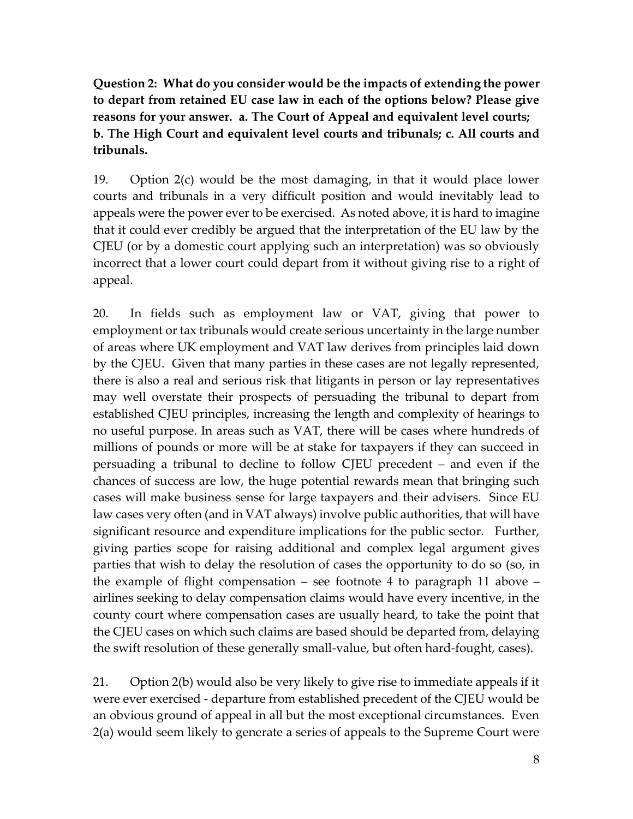**Question 2: What do you consider would be the impacts of extending the power to depart from retained EU case law in each of the options below? Please give reasons for your answer. a. The Court of Appeal and equivalent level courts; b. The High Court and equivalent level courts and tribunals; c. All courts and tribunals.** 

19. Option 2(c) would be the most damaging, in that it would place lower courts and tribunals in a very difficult position and would inevitably lead to appeals were the power ever to be exercised. As noted above, it is hard to imagine that it could ever credibly be argued that the interpretation of the EU law by the CJEU (or by a domestic court applying such an interpretation) was so obviously incorrect that a lower court could depart from it without giving rise to a right of appeal.

20. In fields such as employment law or VAT, giving that power to employment or tax tribunals would create serious uncertainty in the large number of areas where UK employment and VAT law derives from principles laid down by the CJEU. Given that many parties in these cases are not legally represented, there is also a real and serious risk that litigants in person or lay representatives may well overstate their prospects of persuading the tribunal to depart from established CJEU principles, increasing the length and complexity of hearings to no useful purpose. In areas such as VAT, there will be cases where hundreds of millions of pounds or more will be at stake for taxpayers if they can succeed in persuading a tribunal to decline to follow CJEU precedent – and even if the chances of success are low, the huge potential rewards mean that bringing such cases will make business sense for large taxpayers and their advisers. Since EU law cases very often (and in VAT always) involve public authorities, that will have significant resource and expenditure implications for the public sector. Further, giving parties scope for raising additional and complex legal argument gives parties that wish to delay the resolution of cases the opportunity to do so (so, in the example of flight compensation – see footnote 4 to paragraph 11 above – airlines seeking to delay compensation claims would have every incentive, in the county court where compensation cases are usually heard, to take the point that the CJEU cases on which such claims are based should be departed from, delaying the swift resolution of these generally small-value, but often hard-fought, cases).

21. Option 2(b) would also be very likely to give rise to immediate appeals if it were ever exercised - departure from established precedent of the CJEU would be an obvious ground of appeal in all but the most exceptional circumstances. Even 2(a) would seem likely to generate a series of appeals to the Supreme Court were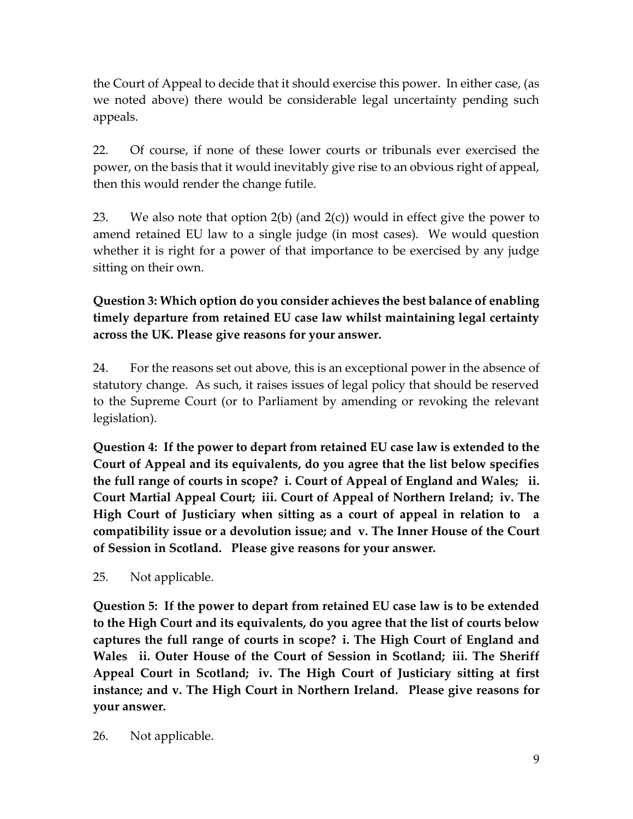the Court of Appeal to decide that it should exercise this power. In either case, (as we noted above) there would be considerable legal uncertainty pending such appeals.

22. Of course, if none of these lower courts or tribunals ever exercised the power, on the basis that it would inevitably give rise to an obvious right of appeal, then this would render the change futile.

23. We also note that option  $2(b)$  (and  $2(c)$ ) would in effect give the power to amend retained EU law to a single judge (in most cases). We would question whether it is right for a power of that importance to be exercised by any judge sitting on their own.

**Question 3: Which option do you consider achieves the best balance of enabling timely departure from retained EU case law whilst maintaining legal certainty across the UK. Please give reasons for your answer.** 

24. For the reasons set out above, this is an exceptional power in the absence of statutory change. As such, it raises issues of legal policy that should be reserved to the Supreme Court (or to Parliament by amending or revoking the relevant legislation).

**Question 4: If the power to depart from retained EU case law is extended to the Court of Appeal and its equivalents, do you agree that the list below specifies the full range of courts in scope? i. Court of Appeal of England and Wales; ii. Court Martial Appeal Court; iii. Court of Appeal of Northern Ireland; iv. The High Court of Justiciary when sitting as a court of appeal in relation to a compatibility issue or a devolution issue; and v. The Inner House of the Court of Session in Scotland. Please give reasons for your answer.** 

25. Not applicable.

**Question 5: If the power to depart from retained EU case law is to be extended to the High Court and its equivalents, do you agree that the list of courts below captures the full range of courts in scope? i. The High Court of England and Wales ii. Outer House of the Court of Session in Scotland; iii. The Sheriff Appeal Court in Scotland; iv. The High Court of Justiciary sitting at first instance; and v. The High Court in Northern Ireland. Please give reasons for your answer.** 

26. Not applicable.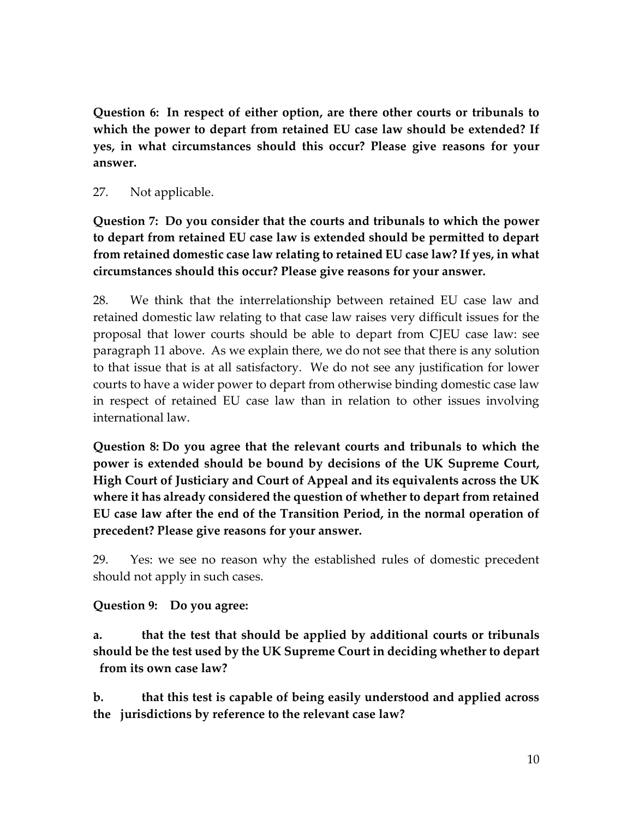**Question 6: In respect of either option, are there other courts or tribunals to which the power to depart from retained EU case law should be extended? If yes, in what circumstances should this occur? Please give reasons for your answer.** 

#### 27. Not applicable.

**Question 7: Do you consider that the courts and tribunals to which the power to depart from retained EU case law is extended should be permitted to depart from retained domestic case law relating to retained EU case law? If yes, in what circumstances should this occur? Please give reasons for your answer.** 

28. We think that the interrelationship between retained EU case law and retained domestic law relating to that case law raises very difficult issues for the proposal that lower courts should be able to depart from CJEU case law: see paragraph 11 above. As we explain there, we do not see that there is any solution to that issue that is at all satisfactory. We do not see any justification for lower courts to have a wider power to depart from otherwise binding domestic case law in respect of retained EU case law than in relation to other issues involving international law.

**Question 8: Do you agree that the relevant courts and tribunals to which the power is extended should be bound by decisions of the UK Supreme Court, High Court of Justiciary and Court of Appeal and its equivalents across the UK where it has already considered the question of whether to depart from retained EU case law after the end of the Transition Period, in the normal operation of precedent? Please give reasons for your answer.**

29. Yes: we see no reason why the established rules of domestic precedent should not apply in such cases.

**Question 9: Do you agree:** 

**a. that the test that should be applied by additional courts or tribunals should be the test used by the UK Supreme Court in deciding whether to depart from its own case law?** 

**b. that this test is capable of being easily understood and applied across the jurisdictions by reference to the relevant case law?**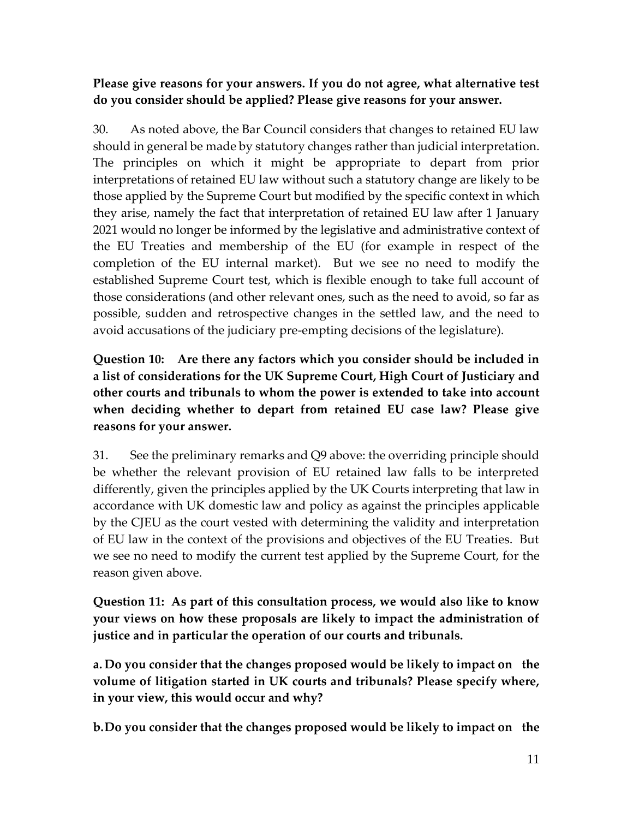### **Please give reasons for your answers. If you do not agree, what alternative test do you consider should be applied? Please give reasons for your answer.**

30. As noted above, the Bar Council considers that changes to retained EU law should in general be made by statutory changes rather than judicial interpretation. The principles on which it might be appropriate to depart from prior interpretations of retained EU law without such a statutory change are likely to be those applied by the Supreme Court but modified by the specific context in which they arise, namely the fact that interpretation of retained EU law after 1 January 2021 would no longer be informed by the legislative and administrative context of the EU Treaties and membership of the EU (for example in respect of the completion of the EU internal market). But we see no need to modify the established Supreme Court test, which is flexible enough to take full account of those considerations (and other relevant ones, such as the need to avoid, so far as possible, sudden and retrospective changes in the settled law, and the need to avoid accusations of the judiciary pre-empting decisions of the legislature).

**Question 10: Are there any factors which you consider should be included in a list of considerations for the UK Supreme Court, High Court of Justiciary and other courts and tribunals to whom the power is extended to take into account when deciding whether to depart from retained EU case law? Please give reasons for your answer.** 

31. See the preliminary remarks and Q9 above: the overriding principle should be whether the relevant provision of EU retained law falls to be interpreted differently, given the principles applied by the UK Courts interpreting that law in accordance with UK domestic law and policy as against the principles applicable by the CJEU as the court vested with determining the validity and interpretation of EU law in the context of the provisions and objectives of the EU Treaties. But we see no need to modify the current test applied by the Supreme Court, for the reason given above.

**Question 11: As part of this consultation process, we would also like to know your views on how these proposals are likely to impact the administration of justice and in particular the operation of our courts and tribunals.**

**a. Do you consider that the changes proposed would be likely to impact on the volume of litigation started in UK courts and tribunals? Please specify where, in your view, this would occur and why?**

**b.Do you consider that the changes proposed would be likely to impact on the**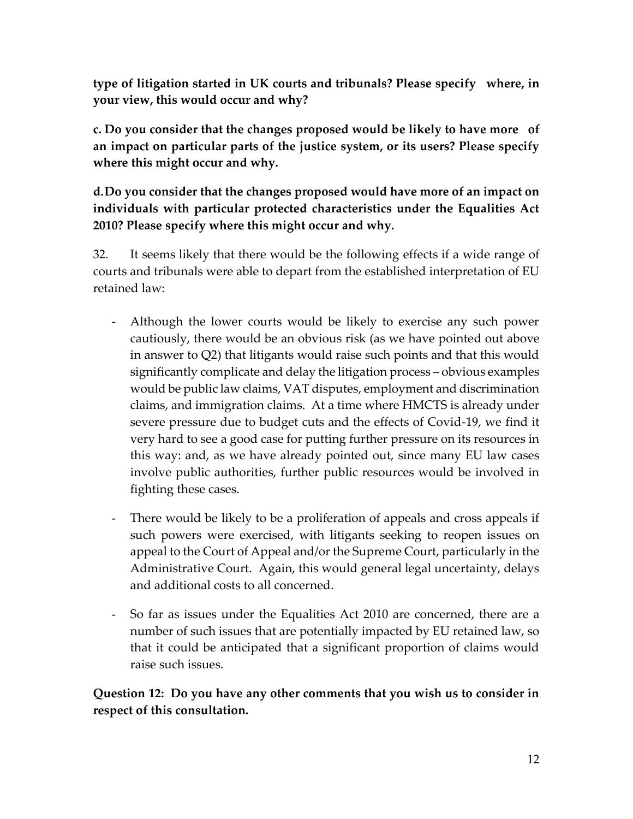**type of litigation started in UK courts and tribunals? Please specify where, in your view, this would occur and why?** 

**c. Do you consider that the changes proposed would be likely to have more of an impact on particular parts of the justice system, or its users? Please specify where this might occur and why.** 

**d.Do you consider that the changes proposed would have more of an impact on individuals with particular protected characteristics under the Equalities Act 2010? Please specify where this might occur and why.** 

32. It seems likely that there would be the following effects if a wide range of courts and tribunals were able to depart from the established interpretation of EU retained law:

- Although the lower courts would be likely to exercise any such power cautiously, there would be an obvious risk (as we have pointed out above in answer to Q2) that litigants would raise such points and that this would significantly complicate and delay the litigation process – obvious examples would be public law claims, VAT disputes, employment and discrimination claims, and immigration claims. At a time where HMCTS is already under severe pressure due to budget cuts and the effects of Covid-19, we find it very hard to see a good case for putting further pressure on its resources in this way: and, as we have already pointed out, since many EU law cases involve public authorities, further public resources would be involved in fighting these cases.
- There would be likely to be a proliferation of appeals and cross appeals if such powers were exercised, with litigants seeking to reopen issues on appeal to the Court of Appeal and/or the Supreme Court, particularly in the Administrative Court. Again, this would general legal uncertainty, delays and additional costs to all concerned.
- So far as issues under the Equalities Act 2010 are concerned, there are a number of such issues that are potentially impacted by EU retained law, so that it could be anticipated that a significant proportion of claims would raise such issues.

**Question 12: Do you have any other comments that you wish us to consider in respect of this consultation.**